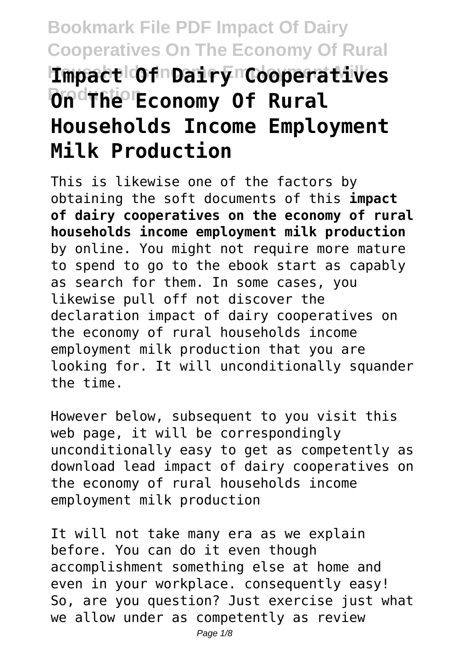# **Bookmark File PDF Impact Of Dairy Cooperatives On The Economy Of Rural Households Income Employment Milk Impact Of Dairy Cooperatives OndThe Economy Of Rural Households Income Employment Milk Production**

This is likewise one of the factors by obtaining the soft documents of this **impact of dairy cooperatives on the economy of rural households income employment milk production** by online. You might not require more mature to spend to go to the ebook start as capably as search for them. In some cases, you likewise pull off not discover the declaration impact of dairy cooperatives on the economy of rural households income employment milk production that you are looking for. It will unconditionally squander the time.

However below, subsequent to you visit this web page, it will be correspondingly unconditionally easy to get as competently as download lead impact of dairy cooperatives on the economy of rural households income employment milk production

It will not take many era as we explain before. You can do it even though accomplishment something else at home and even in your workplace. consequently easy! So, are you question? Just exercise just what we allow under as competently as review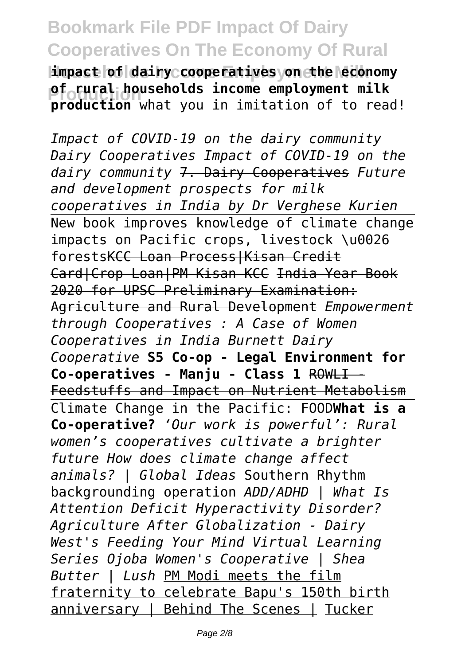$\texttt{limpack}$  of dairy cooperatives yon the economy **production** what you in imitation of to read! **of rural households income employment milk**

*Impact of COVID-19 on the dairy community Dairy Cooperatives Impact of COVID-19 on the dairy community* 7. Dairy Cooperatives *Future and development prospects for milk cooperatives in India by Dr Verghese Kurien* New book improves knowledge of climate change impacts on Pacific crops, livestock \u0026 forestsKCC Loan Process|Kisan Credit Card|Crop Loan|PM Kisan KCC India Year Book 2020 for UPSC Preliminary Examination: Agriculture and Rural Development *Empowerment through Cooperatives : A Case of Women Cooperatives in India Burnett Dairy Cooperative* **S5 Co-op - Legal Environment for** Co-operatives - Manju - Class 1 ROWLI -Feedstuffs and Impact on Nutrient Metabolism Climate Change in the Pacific: FOOD**What is a Co-operative?** *'Our work is powerful': Rural women's cooperatives cultivate a brighter future How does climate change affect animals? | Global Ideas* Southern Rhythm backgrounding operation *ADD/ADHD | What Is Attention Deficit Hyperactivity Disorder? Agriculture After Globalization - Dairy West's Feeding Your Mind Virtual Learning Series Ojoba Women's Cooperative | Shea Butter | Lush* PM Modi meets the film fraternity to celebrate Bapu's 150th birth anniversary | Behind The Scenes | Tucker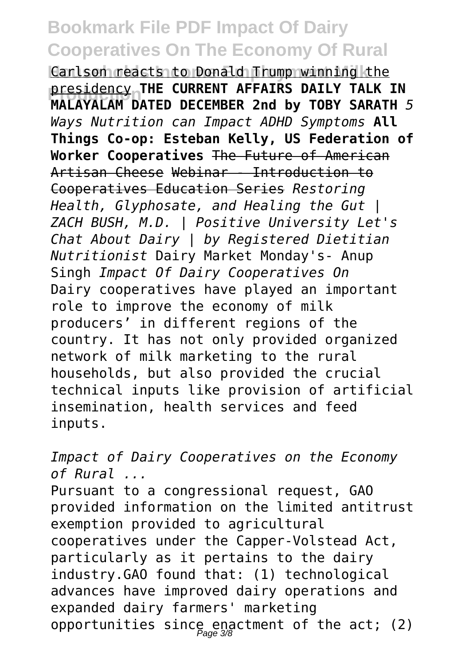Carlson reacts to Donald Trump winning the **Presidency THE CORRENT AFFAIRS DAILY TALK IN**<br>MALAYALAM DATED DECEMBER 2nd by TOBY SARATH 5 presidency **THE CURRENT AFFAIRS DAILY TALK IN** *Ways Nutrition can Impact ADHD Symptoms* **All Things Co-op: Esteban Kelly, US Federation of Worker Cooperatives** The Future of American Artisan Cheese Webinar - Introduction to Cooperatives Education Series *Restoring Health, Glyphosate, and Healing the Gut | ZACH BUSH, M.D. | Positive University Let's Chat About Dairy | by Registered Dietitian Nutritionist* Dairy Market Monday's- Anup Singh *Impact Of Dairy Cooperatives On* Dairy cooperatives have played an important role to improve the economy of milk producers' in different regions of the country. It has not only provided organized network of milk marketing to the rural households, but also provided the crucial technical inputs like provision of artificial insemination, health services and feed inputs.

*Impact of Dairy Cooperatives on the Economy of Rural ...* Pursuant to a congressional request, GAO provided information on the limited antitrust exemption provided to agricultural cooperatives under the Capper-Volstead Act, particularly as it pertains to the dairy industry.GAO found that: (1) technological advances have improved dairy operations and expanded dairy farmers' marketing opportunities since enactment of the act; (2)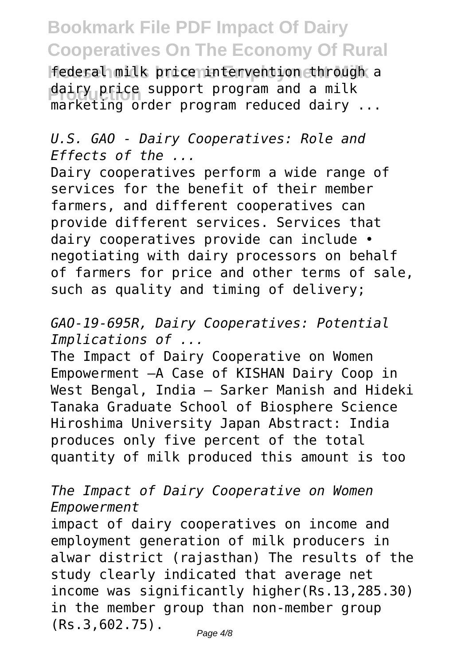**|federal milk price intervention through a** dairy price support program and a milk<br>marketing arder program reduced dairy marketing order program reduced dairy ...

### *U.S. GAO - Dairy Cooperatives: Role and Effects of the ...*

Dairy cooperatives perform a wide range of services for the benefit of their member farmers, and different cooperatives can provide different services. Services that dairy cooperatives provide can include • negotiating with dairy processors on behalf of farmers for price and other terms of sale, such as quality and timing of delivery;

*GAO-19-695R, Dairy Cooperatives: Potential Implications of ...*

The Impact of Dairy Cooperative on Women Empowerment —A Case of KISHAN Dairy Coop in West Bengal, India — Sarker Manish and Hideki Tanaka Graduate School of Biosphere Science Hiroshima University Japan Abstract: India produces only five percent of the total quantity of milk produced this amount is too

#### *The Impact of Dairy Cooperative on Women Empowerment*

impact of dairy cooperatives on income and employment generation of milk producers in alwar district (rajasthan) The results of the study clearly indicated that average net income was significantly higher(Rs.13,285.30) in the member group than non-member group (Rs.3,602.75).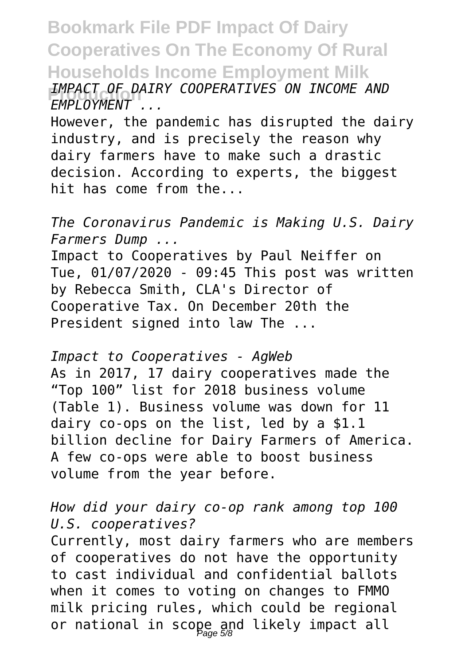**Bookmark File PDF Impact Of Dairy Cooperatives On The Economy Of Rural Households Income Employment Milk Production** *IMPACT OF DAIRY COOPERATIVES ON INCOME AND EMPLOYMENT ...*

However, the pandemic has disrupted the dairy industry, and is precisely the reason why dairy farmers have to make such a drastic decision. According to experts, the biggest hit has come from the...

*The Coronavirus Pandemic is Making U.S. Dairy Farmers Dump ...*

Impact to Cooperatives by Paul Neiffer on Tue, 01/07/2020 - 09:45 This post was written by Rebecca Smith, CLA's Director of Cooperative Tax. On December 20th the President signed into law The ...

*Impact to Cooperatives - AgWeb* As in 2017, 17 dairy cooperatives made the "Top 100" list for 2018 business volume (Table 1). Business volume was down for 11 dairy co-ops on the list, led by a \$1.1 billion decline for Dairy Farmers of America. A few co-ops were able to boost business volume from the year before.

#### *How did your dairy co-op rank among top 100 U.S. cooperatives?*

Currently, most dairy farmers who are members of cooperatives do not have the opportunity to cast individual and confidential ballots when it comes to voting on changes to FMMO milk pricing rules, which could be regional or national in scope and likely impact all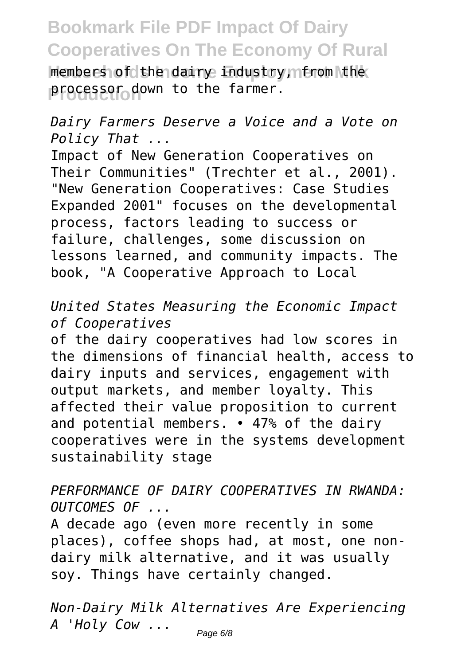**Members of the dairy industry, from the** processor down to the farmer.

*Dairy Farmers Deserve a Voice and a Vote on Policy That ...*

Impact of New Generation Cooperatives on Their Communities" (Trechter et al., 2001). "New Generation Cooperatives: Case Studies Expanded 2001" focuses on the developmental process, factors leading to success or failure, challenges, some discussion on lessons learned, and community impacts. The book, "A Cooperative Approach to Local

*United States Measuring the Economic Impact of Cooperatives*

of the dairy cooperatives had low scores in the dimensions of financial health, access to dairy inputs and services, engagement with output markets, and member loyalty. This affected their value proposition to current and potential members. • 47% of the dairy cooperatives were in the systems development sustainability stage

*PERFORMANCE OF DAIRY COOPERATIVES IN RWANDA: OUTCOMES OF ...*

A decade ago (even more recently in some places), coffee shops had, at most, one nondairy milk alternative, and it was usually soy. Things have certainly changed.

*Non-Dairy Milk Alternatives Are Experiencing A 'Holy Cow ...*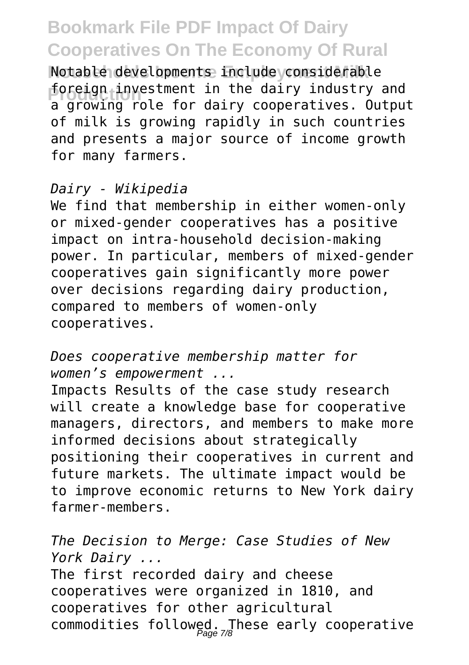Notable developments include considerable **Production** a growing role for dairy cooperatives. Output foreign investment in the dairy industry and of milk is growing rapidly in such countries and presents a major source of income growth for many farmers.

#### *Dairy - Wikipedia*

We find that membership in either women-only or mixed-gender cooperatives has a positive impact on intra-household decision-making power. In particular, members of mixed-gender cooperatives gain significantly more power over decisions regarding dairy production, compared to members of women-only cooperatives.

*Does cooperative membership matter for women's empowerment ...*

Impacts Results of the case study research will create a knowledge base for cooperative managers, directors, and members to make more informed decisions about strategically positioning their cooperatives in current and future markets. The ultimate impact would be to improve economic returns to New York dairy farmer-members.

*The Decision to Merge: Case Studies of New York Dairy ...* The first recorded dairy and cheese cooperatives were organized in 1810, and cooperatives for other agricultural commodities followed. These early cooperative